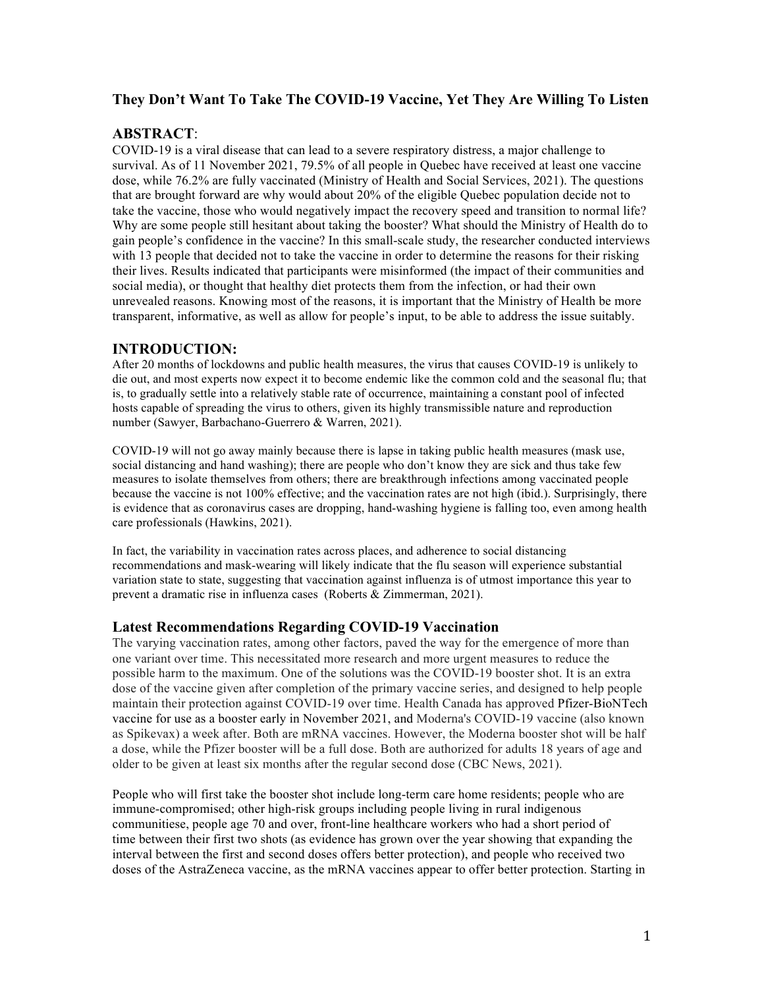# **They Don't Want To Take The COVID-19 Vaccine, Yet They Are Willing To Listen**

# **ABSTRACT**:

COVID-19 is a viral disease that can lead to a severe respiratory distress, a major challenge to survival. As of 11 November 2021, 79.5% of all people in Quebec have received at least one vaccine dose, while 76.2% are fully vaccinated (Ministry of Health and Social Services, 2021). The questions that are brought forward are why would about 20% of the eligible Quebec population decide not to take the vaccine, those who would negatively impact the recovery speed and transition to normal life? Why are some people still hesitant about taking the booster? What should the Ministry of Health do to gain people's confidence in the vaccine? In this small-scale study, the researcher conducted interviews with 13 people that decided not to take the vaccine in order to determine the reasons for their risking their lives. Results indicated that participants were misinformed (the impact of their communities and social media), or thought that healthy diet protects them from the infection, or had their own unrevealed reasons. Knowing most of the reasons, it is important that the Ministry of Health be more transparent, informative, as well as allow for people's input, to be able to address the issue suitably.

## **INTRODUCTION:**

After 20 months of lockdowns and public health measures, the virus that causes COVID-19 is unlikely to die out, and most experts now expect it to become endemic like the common cold and the seasonal flu; that is, to gradually settle into a relatively stable rate of occurrence, maintaining a constant pool of infected hosts capable of spreading the virus to others, given its highly transmissible nature and reproduction number (Sawyer, Barbachano-Guerrero & Warren, 2021).

COVID-19 will not go away mainly because there is lapse in taking public health measures (mask use, social distancing and hand washing); there are people who don't know they are sick and thus take few measures to isolate themselves from others; there are breakthrough infections among vaccinated people because the vaccine is not 100% effective; and the vaccination rates are not high (ibid.). Surprisingly, there is evidence that as coronavirus cases are dropping, hand-washing hygiene is falling too, even among health care professionals (Hawkins, 2021).

In fact, the variability in vaccination rates across places, and adherence to social distancing recommendations and mask-wearing will likely indicate that the flu season will experience substantial variation state to state, suggesting that vaccination against influenza is of utmost importance this year to prevent a dramatic rise in influenza cases (Roberts & Zimmerman, 2021).

## **Latest Recommendations Regarding COVID-19 Vaccination**

The varying vaccination rates, among other factors, paved the way for the emergence of more than one variant over time. This necessitated more research and more urgent measures to reduce the possible harm to the maximum. One of the solutions was the COVID-19 booster shot. It is an extra dose of the vaccine given after completion of the primary vaccine series, and designed to help people maintain their protection against COVID-19 over time. Health Canada has approved Pfizer-BioNTech vaccine for use as a booster early in November 2021, and Moderna's COVID-19 vaccine (also known as Spikevax) a week after. Both are mRNA vaccines. However, the Moderna booster shot will be half a dose, while the Pfizer booster will be a full dose. Both are authorized for adults 18 years of age and older to be given at least six months after the regular second dose (CBC News, 2021).

People who will first take the booster shot include long-term care home residents; people who are immune-compromised; other high-risk groups including people living in rural indigenous communitiese, people age 70 and over, front-line healthcare workers who had a short period of time between their first two shots (as evidence has grown over the year showing that expanding the interval between the first and second doses offers better protection), and people who received two doses of the AstraZeneca vaccine, as the mRNA vaccines appear to offer better protection. Starting in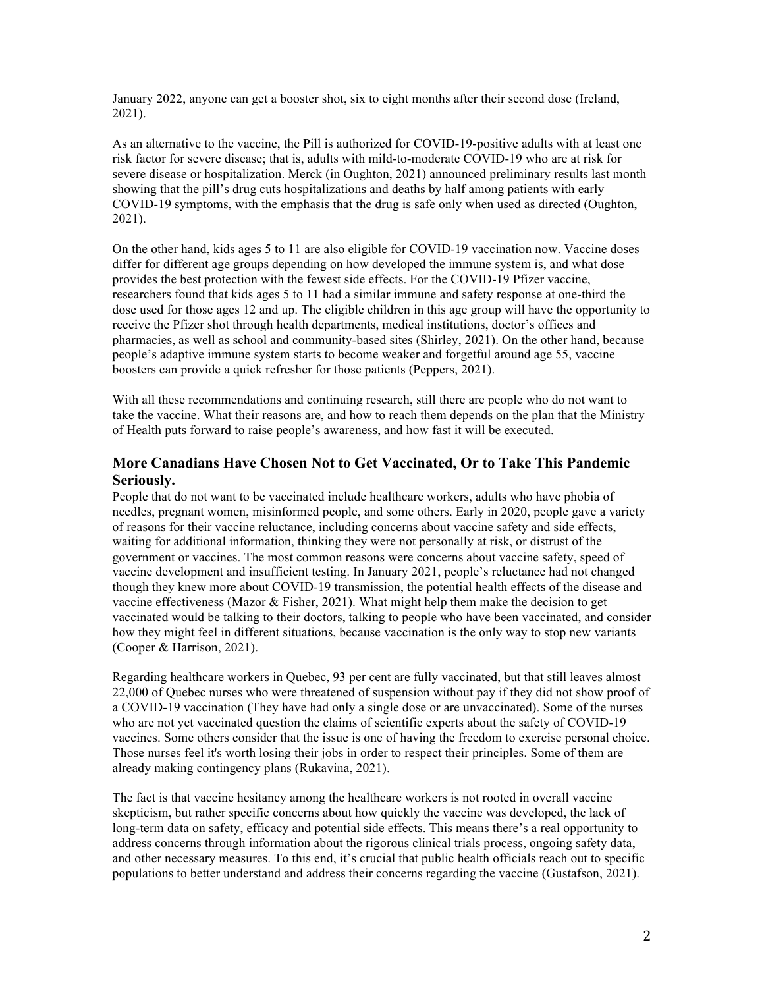January 2022, anyone can get a booster shot, six to eight months after their second dose (Ireland, 2021).

As an alternative to the vaccine, the Pill is authorized for COVID-19-positive adults with at least one risk factor for severe disease; that is, adults with mild-to-moderate COVID-19 who are at risk for severe disease or hospitalization. Merck (in Oughton, 2021) announced preliminary results last month showing that the pill's drug cuts hospitalizations and deaths by half among patients with early COVID-19 symptoms, with the emphasis that the drug is safe only when used as directed (Oughton, 2021).

On the other hand, kids ages 5 to 11 are also eligible for COVID-19 vaccination now. Vaccine doses differ for different age groups depending on how developed the immune system is, and what dose provides the best protection with the fewest side effects. For the COVID-19 Pfizer vaccine, researchers found that kids ages 5 to 11 had a similar immune and safety response at one-third the dose used for those ages 12 and up. The eligible children in this age group will have the opportunity to receive the Pfizer shot through health departments, medical institutions, doctor's offices and pharmacies, as well as school and community-based sites (Shirley, 2021). On the other hand, because people's adaptive immune system starts to become weaker and forgetful around age 55, vaccine boosters can provide a quick refresher for those patients (Peppers, 2021).

With all these recommendations and continuing research, still there are people who do not want to take the vaccine. What their reasons are, and how to reach them depends on the plan that the Ministry of Health puts forward to raise people's awareness, and how fast it will be executed.

# **More Canadians Have Chosen Not to Get Vaccinated, Or to Take This Pandemic Seriously.**

People that do not want to be vaccinated include healthcare workers, adults who have phobia of needles, pregnant women, misinformed people, and some others. Early in 2020, people gave a variety of reasons for their vaccine reluctance, including concerns about vaccine safety and side effects, waiting for additional information, thinking they were not personally at risk, or distrust of the government or vaccines. The most common reasons were concerns about vaccine safety, speed of vaccine development and insufficient testing. In January 2021, people's reluctance had not changed though they knew more about COVID-19 transmission, the potential health effects of the disease and vaccine effectiveness (Mazor  $\&$  Fisher, 2021). What might help them make the decision to get vaccinated would be talking to their doctors, talking to people who have been vaccinated, and consider how they might feel in different situations, because vaccination is the only way to stop new variants (Cooper & Harrison, 2021).

Regarding healthcare workers in Quebec, 93 per cent are fully vaccinated, but that still leaves almost 22,000 of Quebec nurses who were threatened of suspension without pay if they did not show proof of a COVID-19 vaccination (They have had only a single dose or are unvaccinated). Some of the nurses who are not yet vaccinated question the claims of scientific experts about the safety of COVID-19 vaccines. Some others consider that the issue is one of having the freedom to exercise personal choice. Those nurses feel it's worth losing their jobs in order to respect their principles. Some of them are already making contingency plans (Rukavina, 2021).

The fact is that vaccine hesitancy among the healthcare workers is not rooted in overall vaccine skepticism, but rather specific concerns about how quickly the vaccine was developed, the lack of long-term data on safety, efficacy and potential side effects. This means there's a real opportunity to address concerns through information about the rigorous clinical trials process, ongoing safety data, and other necessary measures. To this end, it's crucial that public health officials reach out to specific populations to better understand and address their concerns regarding the vaccine (Gustafson, 2021).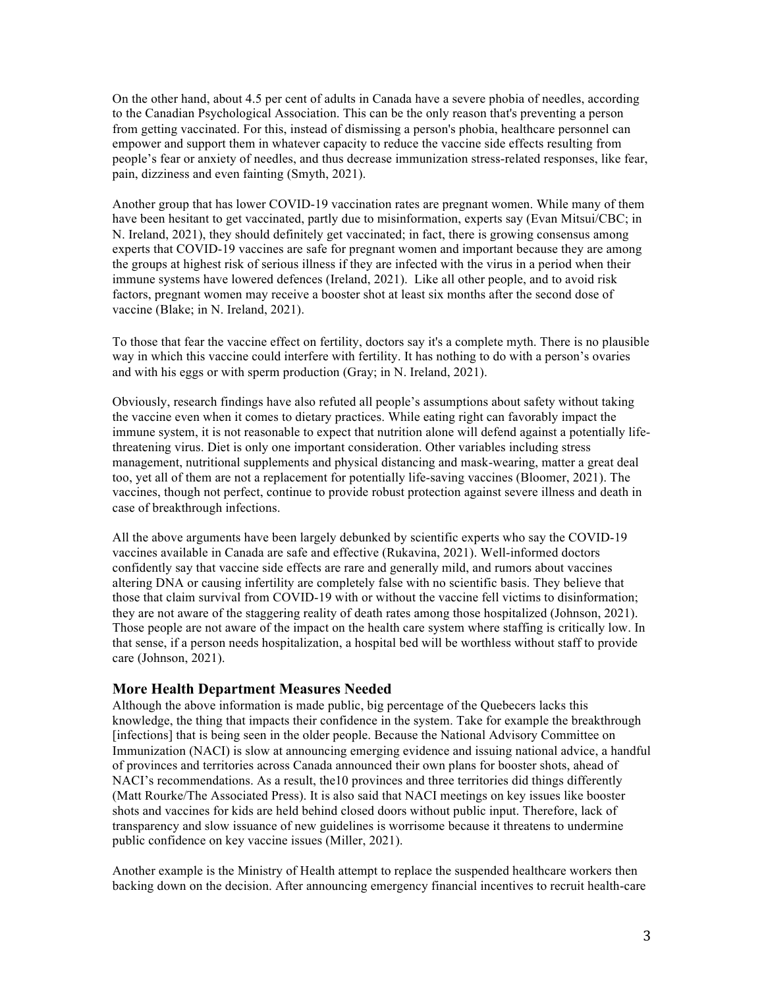On the other hand, about 4.5 per cent of adults in Canada have a severe phobia of needles, according to the Canadian Psychological Association. This can be the only reason that's preventing a person from getting vaccinated. For this, instead of dismissing a person's phobia, healthcare personnel can empower and support them in whatever capacity to reduce the vaccine side effects resulting from people's fear or anxiety of needles, and thus decrease immunization stress-related responses, like fear, pain, dizziness and even fainting (Smyth, 2021).

Another group that has lower COVID-19 vaccination rates are pregnant women. While many of them have been hesitant to get vaccinated, partly due to misinformation, experts say (Evan Mitsui/CBC; in N. Ireland, 2021), they should definitely get vaccinated; in fact, there is growing consensus among experts that COVID-19 vaccines are safe for pregnant women and important because they are among the groups at highest risk of serious illness if they are infected with the virus in a period when their immune systems have lowered defences (Ireland, 2021). Like all other people, and to avoid risk factors, pregnant women may receive a booster shot at least six months after the second dose of vaccine (Blake; in N. Ireland, 2021).

To those that fear the vaccine effect on fertility, doctors say it's a complete myth. There is no plausible way in which this vaccine could interfere with fertility. It has nothing to do with a person's ovaries and with his eggs or with sperm production (Gray; in N. Ireland, 2021).

Obviously, research findings have also refuted all people's assumptions about safety without taking the vaccine even when it comes to dietary practices. While eating right can favorably impact the immune system, it is not reasonable to expect that nutrition alone will defend against a potentially lifethreatening virus. Diet is only one important consideration. Other variables including stress management, nutritional supplements and physical distancing and mask-wearing, matter a great deal too, yet all of them are not a replacement for potentially life-saving vaccines (Bloomer, 2021). The vaccines, though not perfect, continue to provide robust protection against severe illness and death in case of breakthrough infections.

All the above arguments have been largely debunked by scientific experts who say the COVID-19 vaccines available in Canada are safe and effective (Rukavina, 2021). Well-informed doctors confidently say that vaccine side effects are rare and generally mild, and rumors about vaccines altering DNA or causing infertility are completely false with no scientific basis. They believe that those that claim survival from COVID-19 with or without the vaccine fell victims to disinformation; they are not aware of the staggering reality of death rates among those hospitalized (Johnson, 2021). Those people are not aware of the impact on the health care system where staffing is critically low. In that sense, if a person needs hospitalization, a hospital bed will be worthless without staff to provide care (Johnson, 2021).

## **More Health Department Measures Needed**

Although the above information is made public, big percentage of the Quebecers lacks this knowledge, the thing that impacts their confidence in the system. Take for example the breakthrough [infections] that is being seen in the older people. Because the National Advisory Committee on Immunization (NACI) is slow at announcing emerging evidence and issuing national advice, a handful of provinces and territories across Canada announced their own plans for booster shots, ahead of NACI's recommendations. As a result, the10 provinces and three territories did things differently (Matt Rourke/The Associated Press). It is also said that NACI meetings on key issues like booster shots and vaccines for kids are held behind closed doors without public input. Therefore, lack of transparency and slow issuance of new guidelines is worrisome because it threatens to undermine public confidence on key vaccine issues (Miller, 2021).

Another example is the Ministry of Health attempt to replace the suspended healthcare workers then backing down on the decision. After announcing emergency financial incentives to recruit health-care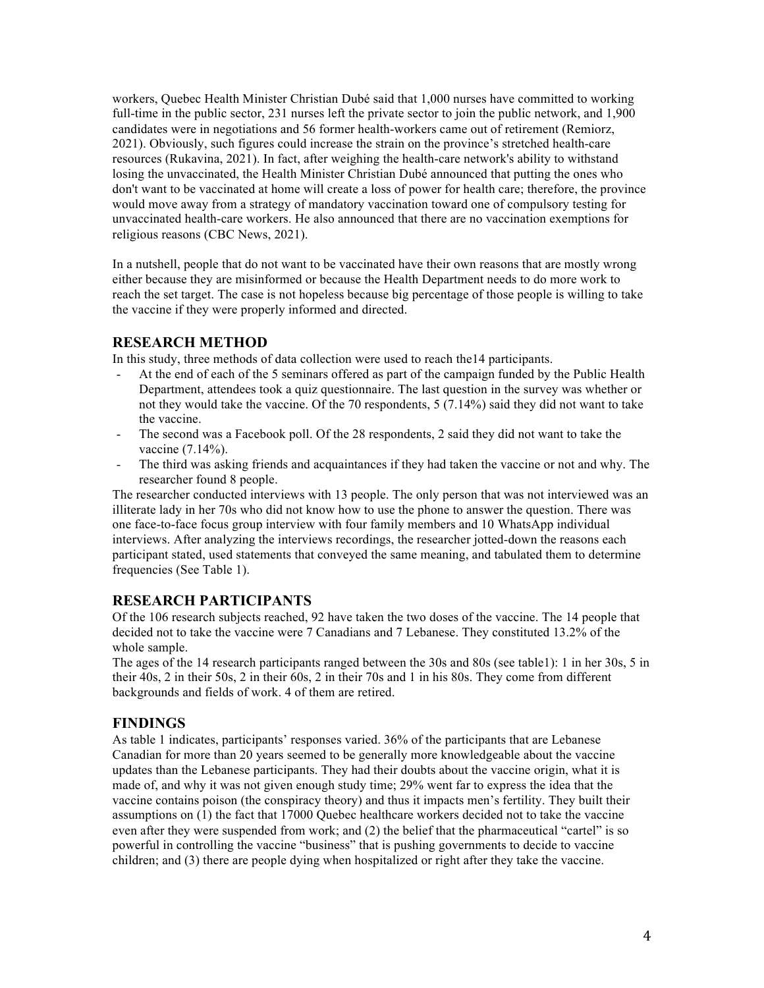workers, Quebec Health Minister Christian Dubé said that 1,000 nurses have committed to working full-time in the public sector, 231 nurses left the private sector to join the public network, and 1,900 candidates were in negotiations and 56 former health-workers came out of retirement (Remiorz, 2021). Obviously, such figures could increase the strain on the province's stretched health-care resources (Rukavina, 2021). In fact, after weighing the health-care network's ability to withstand losing the unvaccinated, the Health Minister Christian Dubé announced that putting the ones who don't want to be vaccinated at home will create a loss of power for health care; therefore, the province would move away from a strategy of mandatory vaccination toward one of compulsory testing for unvaccinated health-care workers. He also announced that there are no vaccination exemptions for religious reasons (CBC News, 2021).

In a nutshell, people that do not want to be vaccinated have their own reasons that are mostly wrong either because they are misinformed or because the Health Department needs to do more work to reach the set target. The case is not hopeless because big percentage of those people is willing to take the vaccine if they were properly informed and directed.

# **RESEARCH METHOD**

In this study, three methods of data collection were used to reach the14 participants.

- At the end of each of the 5 seminars offered as part of the campaign funded by the Public Health Department, attendees took a quiz questionnaire. The last question in the survey was whether or not they would take the vaccine. Of the 70 respondents, 5 (7.14%) said they did not want to take the vaccine.
- The second was a Facebook poll. Of the 28 respondents, 2 said they did not want to take the vaccine (7.14%).
- The third was asking friends and acquaintances if they had taken the vaccine or not and why. The researcher found 8 people.

The researcher conducted interviews with 13 people. The only person that was not interviewed was an illiterate lady in her 70s who did not know how to use the phone to answer the question. There was one face-to-face focus group interview with four family members and 10 WhatsApp individual interviews. After analyzing the interviews recordings, the researcher jotted-down the reasons each participant stated, used statements that conveyed the same meaning, and tabulated them to determine frequencies (See Table 1).

## **RESEARCH PARTICIPANTS**

Of the 106 research subjects reached, 92 have taken the two doses of the vaccine. The 14 people that decided not to take the vaccine were 7 Canadians and 7 Lebanese. They constituted 13.2% of the whole sample.

The ages of the 14 research participants ranged between the 30s and 80s (see table1): 1 in her 30s, 5 in their 40s, 2 in their 50s, 2 in their 60s, 2 in their 70s and 1 in his 80s. They come from different backgrounds and fields of work. 4 of them are retired.

## **FINDINGS**

As table 1 indicates, participants' responses varied. 36% of the participants that are Lebanese Canadian for more than 20 years seemed to be generally more knowledgeable about the vaccine updates than the Lebanese participants. They had their doubts about the vaccine origin, what it is made of, and why it was not given enough study time; 29% went far to express the idea that the vaccine contains poison (the conspiracy theory) and thus it impacts men's fertility. They built their assumptions on (1) the fact that 17000 Quebec healthcare workers decided not to take the vaccine even after they were suspended from work; and (2) the belief that the pharmaceutical "cartel" is so powerful in controlling the vaccine "business" that is pushing governments to decide to vaccine children; and (3) there are people dying when hospitalized or right after they take the vaccine.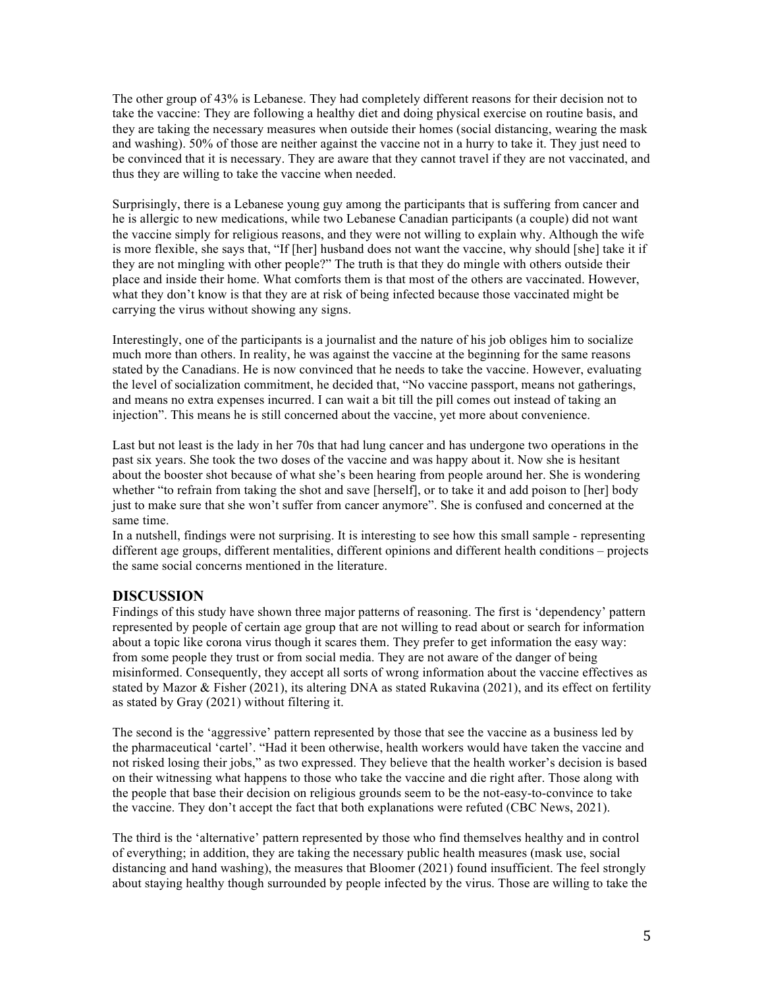The other group of 43% is Lebanese. They had completely different reasons for their decision not to take the vaccine: They are following a healthy diet and doing physical exercise on routine basis, and they are taking the necessary measures when outside their homes (social distancing, wearing the mask and washing). 50% of those are neither against the vaccine not in a hurry to take it. They just need to be convinced that it is necessary. They are aware that they cannot travel if they are not vaccinated, and thus they are willing to take the vaccine when needed.

Surprisingly, there is a Lebanese young guy among the participants that is suffering from cancer and he is allergic to new medications, while two Lebanese Canadian participants (a couple) did not want the vaccine simply for religious reasons, and they were not willing to explain why. Although the wife is more flexible, she says that, "If [her] husband does not want the vaccine, why should [she] take it if they are not mingling with other people?" The truth is that they do mingle with others outside their place and inside their home. What comforts them is that most of the others are vaccinated. However, what they don't know is that they are at risk of being infected because those vaccinated might be carrying the virus without showing any signs.

Interestingly, one of the participants is a journalist and the nature of his job obliges him to socialize much more than others. In reality, he was against the vaccine at the beginning for the same reasons stated by the Canadians. He is now convinced that he needs to take the vaccine. However, evaluating the level of socialization commitment, he decided that, "No vaccine passport, means not gatherings, and means no extra expenses incurred. I can wait a bit till the pill comes out instead of taking an injection". This means he is still concerned about the vaccine, yet more about convenience.

Last but not least is the lady in her 70s that had lung cancer and has undergone two operations in the past six years. She took the two doses of the vaccine and was happy about it. Now she is hesitant about the booster shot because of what she's been hearing from people around her. She is wondering whether "to refrain from taking the shot and save [herself], or to take it and add poison to [her] body just to make sure that she won't suffer from cancer anymore". She is confused and concerned at the same time.

In a nutshell, findings were not surprising. It is interesting to see how this small sample - representing different age groups, different mentalities, different opinions and different health conditions – projects the same social concerns mentioned in the literature.

## **DISCUSSION**

Findings of this study have shown three major patterns of reasoning. The first is 'dependency' pattern represented by people of certain age group that are not willing to read about or search for information about a topic like corona virus though it scares them. They prefer to get information the easy way: from some people they trust or from social media. They are not aware of the danger of being misinformed. Consequently, they accept all sorts of wrong information about the vaccine effectives as stated by Mazor & Fisher (2021), its altering DNA as stated Rukavina (2021), and its effect on fertility as stated by Gray (2021) without filtering it.

The second is the 'aggressive' pattern represented by those that see the vaccine as a business led by the pharmaceutical 'cartel'. "Had it been otherwise, health workers would have taken the vaccine and not risked losing their jobs," as two expressed. They believe that the health worker's decision is based on their witnessing what happens to those who take the vaccine and die right after. Those along with the people that base their decision on religious grounds seem to be the not-easy-to-convince to take the vaccine. They don't accept the fact that both explanations were refuted (CBC News, 2021).

The third is the 'alternative' pattern represented by those who find themselves healthy and in control of everything; in addition, they are taking the necessary public health measures (mask use, social distancing and hand washing), the measures that Bloomer (2021) found insufficient. The feel strongly about staying healthy though surrounded by people infected by the virus. Those are willing to take the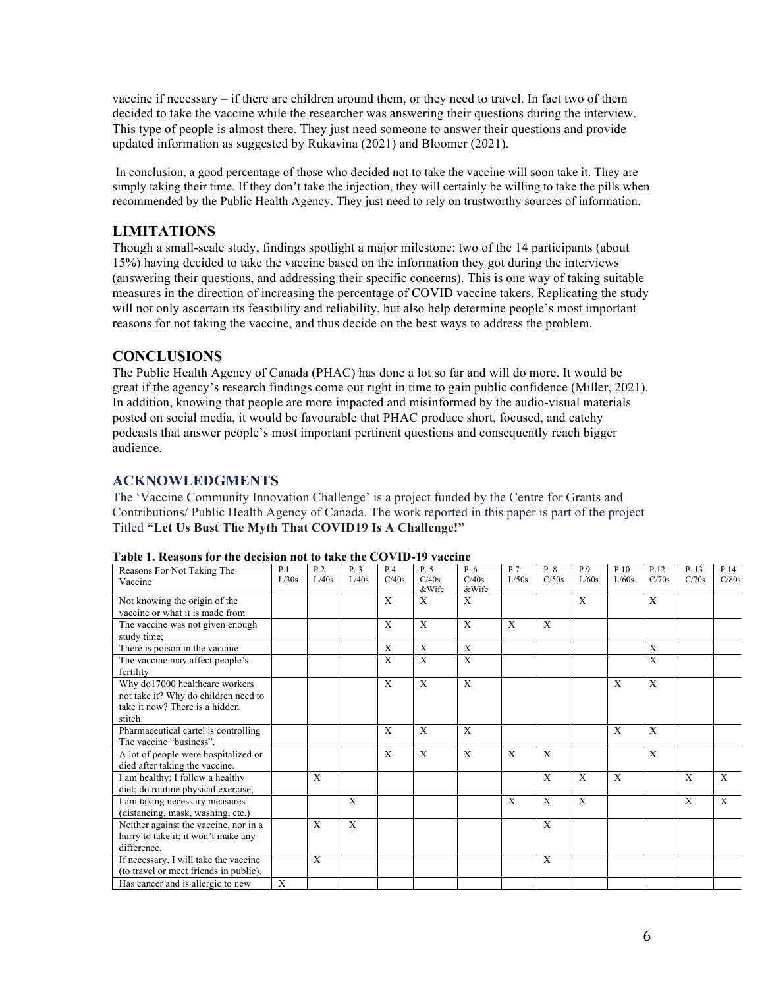vaccine if necessary – if there are children around them, or they need to travel. In fact two of them decided to take the vaccine while the researcher was answering their questions during the interview. This type of people is almost there. They just need someone to answer their questions and provide updated information as suggested by Rukavina (2021) and Bloomer (2021).

In conclusion, a good percentage of those who decided not to take the vaccine will soon take it. They are simply taking their time. If they don't take the injection, they will certainly be willing to take the pills when recommended by the Public Health Agency. They just need to rely on trustworthy sources of information.

#### **LIMITATIONS**

Though a small-scale study, findings spotlight a major milestone: two of the 14 participants (about 15%) having decided to take the vaccine based on the information they got during the interviews (answering their questions, and addressing their specific concerns). This is one way of taking suitable measures in the direction of increasing the percentage of COVID vaccine takers. Replicating the study will not only ascertain its feasibility and reliability, but also help determine people's most important reasons for not taking the vaccine, and thus decide on the best ways to address the problem.

#### **CONCLUSIONS**

The Public Health Agency of Canada (PHAC) has done a lot so far and will do more. It would be great if the agency's research findings come out right in time to gain public confidence (Miller, 2021). In addition, knowing that people are more impacted and misinformed by the audio-visual materials posted on social media, it would be favourable that PHAC produce short, focused, and catchy podcasts that answer people's most important pertinent questions and consequently reach bigger audience.

#### **ACKNOWLEDGMENTS**

The 'Vaccine Community Innovation Challenge' is a project funded by the Centre for Grants and Contributions/ Public Health Agency of Canada. The work reported in this paper is part of the project Titled **"Let Us Bust The Myth That COVID19 Is A Challenge!"**

| Reasons For Not Taking The             | P.1   | P <sub>2</sub> | P.3   | <b>P4</b> | P.5            | P. 6           | P.7          | P. 8         | P.9          | P.10  | P.12  | P. 13 | P.14         |
|----------------------------------------|-------|----------------|-------|-----------|----------------|----------------|--------------|--------------|--------------|-------|-------|-------|--------------|
| Vaccine                                | L/30s | L/40s          | L/40s | C/40s     | C/40s<br>&Wife | C/40s<br>&Wife | L/50s        | C/50s        | L/60s        | L/60s | C/70s | C/70s | C/80s        |
| Not knowing the origin of the          |       |                |       | X         | X              | X              |              |              | X            |       | X     |       |              |
| vaccine or what it is made from        |       |                |       |           |                |                |              |              |              |       |       |       |              |
| The vaccine was not given enough       |       |                |       | X         | X              | X              | X            | X            |              |       |       |       |              |
| study time;                            |       |                |       |           |                |                |              |              |              |       |       |       |              |
| There is poison in the vaccine         |       |                |       | X         | X              | X              |              |              |              |       | X     |       |              |
| The vaccine may affect people's        |       |                |       | X         | X              | X              |              |              |              |       | X     |       |              |
| fertility                              |       |                |       |           |                |                |              |              |              |       |       |       |              |
| Why do17000 healthcare workers         |       |                |       | X         | X              | X              |              |              |              | X     | X     |       |              |
| not take it? Why do children need to   |       |                |       |           |                |                |              |              |              |       |       |       |              |
| take it now? There is a hidden         |       |                |       |           |                |                |              |              |              |       |       |       |              |
| stitch.                                |       |                |       |           |                |                |              |              |              |       |       |       |              |
| Pharmaceutical cartel is controlling   |       |                |       | X         | X              | X              |              |              |              | X     | X     |       |              |
| The vaccine "business".                |       |                |       |           |                |                |              |              |              |       |       |       |              |
| A lot of people were hospitalized or   |       |                |       | X         | X              | X              | $\mathbf{X}$ | $\mathbf{x}$ |              |       | X     |       |              |
| died after taking the vaccine.         |       |                |       |           |                |                |              |              |              |       |       |       |              |
| I am healthy; I follow a healthy       |       | $\mathbf{X}$   |       |           |                |                |              | $\mathbf{X}$ | $\mathbf{X}$ | X     |       | X     | $\mathbf{X}$ |
| diet; do routine physical exercise;    |       |                |       |           |                |                |              |              |              |       |       |       |              |
| I am taking necessary measures         |       |                | X     |           |                |                | X            | X            | X            |       |       | X     | X            |
| (distancing, mask, washing, etc.)      |       |                |       |           |                |                |              |              |              |       |       |       |              |
| Neither against the vaccine, nor in a  |       | $\mathbf{X}$   | X     |           |                |                |              | X            |              |       |       |       |              |
| hurry to take it; it won't make any    |       |                |       |           |                |                |              |              |              |       |       |       |              |
| difference.                            |       |                |       |           |                |                |              |              |              |       |       |       |              |
| If necessary, I will take the vaccine  |       | $\mathbf{X}$   |       |           |                |                |              | X            |              |       |       |       |              |
| (to travel or meet friends in public). |       |                |       |           |                |                |              |              |              |       |       |       |              |
| Has cancer and is allergic to new      | X     |                |       |           |                |                |              |              |              |       |       |       |              |

#### **Table 1. Reasons for the decision not to take the COVID-19 vaccine**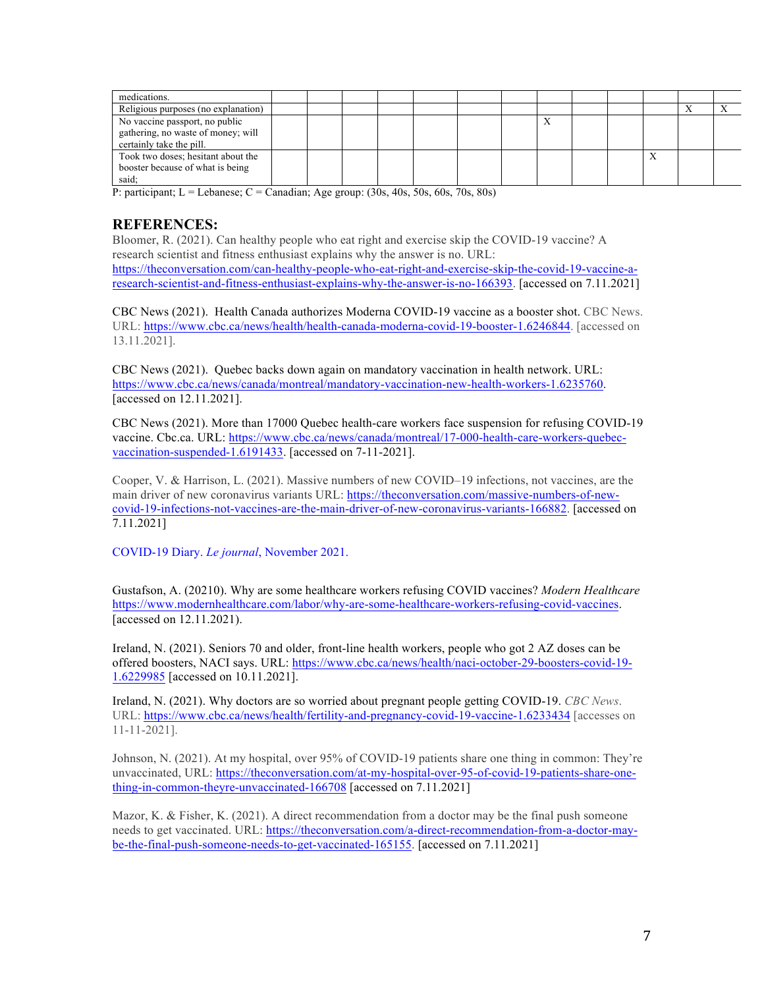| medications.                                                                                     |  |  |  |  |  |  |  |
|--------------------------------------------------------------------------------------------------|--|--|--|--|--|--|--|
| Religious purposes (no explanation)                                                              |  |  |  |  |  |  |  |
| No vaccine passport, no public<br>gathering, no waste of money; will<br>certainly take the pill. |  |  |  |  |  |  |  |
| Took two doses; hesitant about the<br>booster because of what is being<br>said:                  |  |  |  |  |  |  |  |

P: participant; L = Lebanese; C = Canadian; Age group:  $(30s, 40s, 50s, 60s, 70s, 80s)$ 

# **REFERENCES:**

Bloomer, R. (2021). Can healthy people who eat right and exercise skip the COVID-19 vaccine? A research scientist and fitness enthusiast explains why the answer is no. URL: https://theconversation.com/can-healthy-people-who-eat-right-and-exercise-skip-the-covid-19-vaccine-aresearch-scientist-and-fitness-enthusiast-explains-why-the-answer-is-no-166393. [accessed on 7.11.2021]

CBC News (2021).Health Canada authorizes Moderna COVID-19 vaccine as a booster shot. CBC News. URL: https://www.cbc.ca/news/health/health-canada-moderna-covid-19-booster-1.6246844. [accessed on 13.11.2021].

CBC News (2021). Quebec backs down again on mandatory vaccination in health network. URL: https://www.cbc.ca/news/canada/montreal/mandatory-vaccination-new-health-workers-1.6235760. [accessed on 12.11.2021].

CBC News (2021). More than 17000 Quebec health-care workers face suspension for refusing COVID-19 vaccine. Cbc.ca. URL: https://www.cbc.ca/news/canada/montreal/17-000-health-care-workers-quebecvaccination-suspended-1.6191433. [accessed on 7-11-2021].

Cooper, V. & Harrison, L. (2021). Massive numbers of new COVID–19 infections, not vaccines, are the main driver of new coronavirus variants URL: https://theconversation.com/massive-numbers-of-newcovid-19-infections-not-vaccines-are-the-main-driver-of-new-coronavirus-variants-166882. [accessed on 7.11.2021]

COVID-19 Diary. *Le journal*, November 2021.

Gustafson, A. (20210). Why are some healthcare workers refusing COVID vaccines? *Modern Healthcare* https://www.modernhealthcare.com/labor/why-are-some-healthcare-workers-refusing-covid-vaccines. [accessed on 12.11.2021).

Ireland, N. (2021). Seniors 70 and older, front-line health workers, people who got 2 AZ doses can be offered boosters, NACI says. URL: https://www.cbc.ca/news/health/naci-october-29-boosters-covid-19- 1.6229985 [accessed on 10.11.2021].

Ireland, N. (2021). Why doctors are so worried about pregnant people getting COVID-19. *CBC News*. URL: https://www.cbc.ca/news/health/fertility-and-pregnancy-covid-19-vaccine-1.6233434 [accesses on 11-11-2021].

Johnson, N. (2021). At my hospital, over 95% of COVID-19 patients share one thing in common: They're unvaccinated, URL: https://theconversation.com/at-my-hospital-over-95-of-covid-19-patients-share-onething-in-common-theyre-unvaccinated-166708 [accessed on 7.11.2021]

Mazor, K. & Fisher, K. (2021). A direct recommendation from a doctor may be the final push someone needs to get vaccinated. URL: https://theconversation.com/a-direct-recommendation-from-a-doctor-maybe-the-final-push-someone-needs-to-get-vaccinated-165155. [accessed on 7.11.2021]